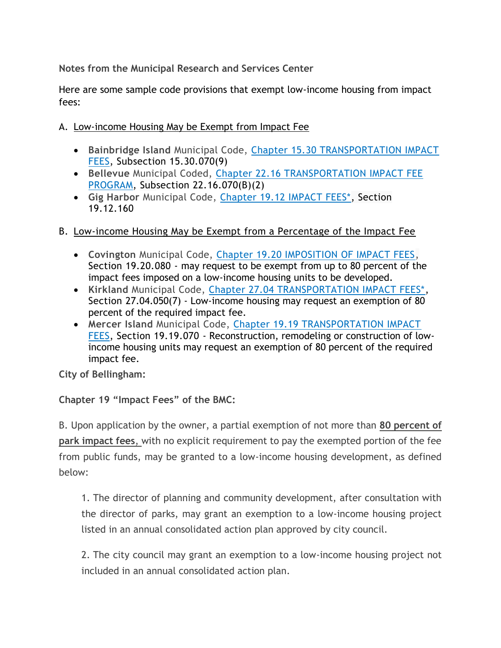**Notes from the Municipal Research and Services Center**

Here are some sample code provisions that exempt low-income housing from impact fees:

- A. Low-income Housing May be Exempt from Impact Fee
	- **Bainbridge Island** Municipal Code, [Chapter 15.30 TRANSPORTATION IMPACT](http://www.codepublishing.com/WA/BainbridgeIsland/?html/BainbridgeIsland15/BainbridgeIsland1530.html)  [FEES,](http://www.codepublishing.com/WA/BainbridgeIsland/?html/BainbridgeIsland15/BainbridgeIsland1530.html) Subsection 15.30.070(9)
	- **Bellevue** Municipal Coded, [Chapter 22.16 TRANSPORTATION IMPACT FEE](http://www.codepublishing.com/WA/Bellevue/?html/Bellevue22/Bellevue2216.html)  [PROGRAM,](http://www.codepublishing.com/WA/Bellevue/?html/Bellevue22/Bellevue2216.html) Subsection 22.16.070(B)(2)
	- **Gig Harbor** Municipal Code, [Chapter 19.12 IMPACT FEES\\*,](http://www.codepublishing.com/WA/GigHarbor/?html/GigHarbor19/GigHarbor1912.html) Section 19.12.160
- B. Low-income Housing May be Exempt from a Percentage of the Impact Fee
	- **Covington** Municipal Code, [Chapter 19.20 IMPOSITION OF IMPACT FEES,](http://www.codepublishing.com/WA/Covington/?html/Covington19/Covington1920.html) Section 19.20.080 - may request to be exempt from up to 80 percent of the impact fees imposed on a low-income housing units to be developed.
	- **Kirkland** Municipal Code, [Chapter 27.04 TRANSPORTATION IMPACT FEES\\*,](http://www.codepublishing.com/WA/Kirkland/?html/Kirkland27/Kirkland2704.html) Section 27.04.050(7) - Low-income housing may request an exemption of 80 percent of the required impact fee.
	- **Mercer Island** Municipal Code, [Chapter 19.19 TRANSPORTATION IMPACT](http://www.codepublishing.com/WA/MercerIsland/?html/MercerIsland19/MercerIsland1919.html)  [FEES,](http://www.codepublishing.com/WA/MercerIsland/?html/MercerIsland19/MercerIsland1919.html) Section 19.19.070 - Reconstruction, remodeling or construction of lowincome housing units may request an exemption of 80 percent of the required impact fee.

**City of Bellingham:**

# **Chapter 19 "Impact Fees" of the BMC:**

B. Upon application by the owner, a partial exemption of not more than **80 percent of park impact fees**, with no explicit requirement to pay the exempted portion of the fee from public funds, may be granted to a low-income housing development, as defined below:

1. The director of planning and community development, after consultation with the director of parks, may grant an exemption to a low-income housing project listed in an annual consolidated action plan approved by city council.

2. The city council may grant an exemption to a low-income housing project not included in an annual consolidated action plan.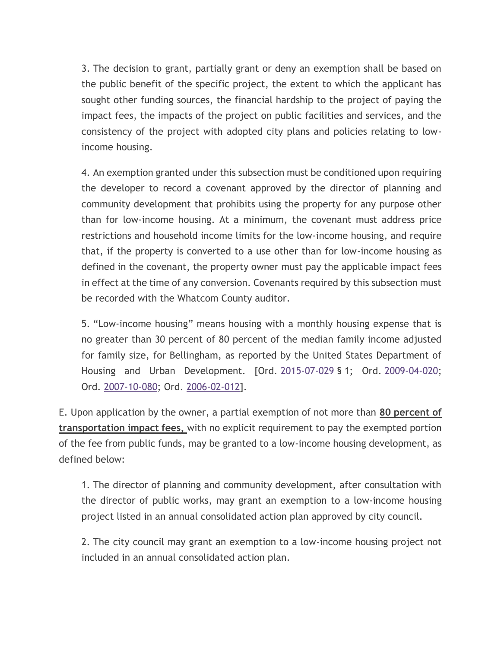3. The decision to grant, partially grant or deny an exemption shall be based on the public benefit of the specific project, the extent to which the applicant has sought other funding sources, the financial hardship to the project of paying the impact fees, the impacts of the project on public facilities and services, and the consistency of the project with adopted city plans and policies relating to lowincome housing.

4. An exemption granted under this subsection must be conditioned upon requiring the developer to record a covenant approved by the director of planning and community development that prohibits using the property for any purpose other than for low-income housing. At a minimum, the covenant must address price restrictions and household income limits for the low-income housing, and require that, if the property is converted to a use other than for low-income housing as defined in the covenant, the property owner must pay the applicable impact fees in effect at the time of any conversion. Covenants required by this subsection must be recorded with the Whatcom County auditor.

5. "Low-income housing" means housing with a monthly housing expense that is no greater than 30 percent of 80 percent of the median family income adjusted for family size, for Bellingham, as reported by the United States Department of Housing and Urban Development. [Ord. [2015-07-029](http://www.codepublishing.com/WA/Bellingham/html/pdfs/2015-07-029.pdf) § 1; Ord. [2009-04-020;](http://www.codepublishing.com/WA/Bellingham/html/pdfs/2009-04-020.pdf) Ord. [2007-10-080;](http://www.codepublishing.com/WA/Bellingham/html/pdfs/2007-10-080.pdf) Ord. [2006-02-012\]](http://www.codepublishing.com/WA/Bellingham/html/pdfs/2006-02-012.pdf).

E. Upon application by the owner, a partial exemption of not more than **80 percent of transportation impact fees,** with no explicit requirement to pay the exempted portion of the fee from public funds, may be granted to a low-income housing development, as defined below:

1. The director of planning and community development, after consultation with the director of public works, may grant an exemption to a low-income housing project listed in an annual consolidated action plan approved by city council.

2. The city council may grant an exemption to a low-income housing project not included in an annual consolidated action plan.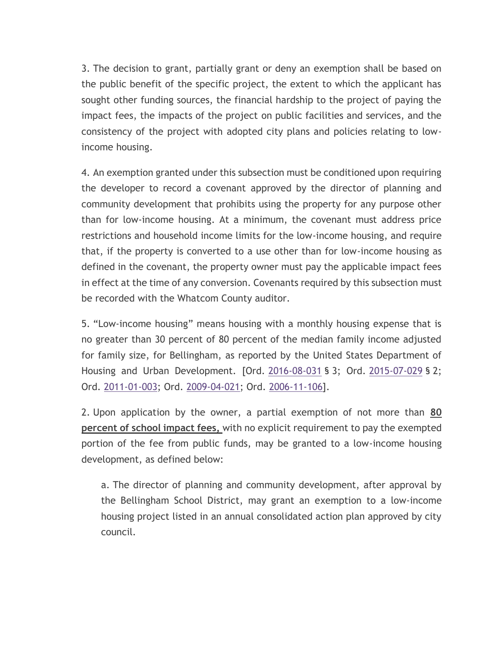3. The decision to grant, partially grant or deny an exemption shall be based on the public benefit of the specific project, the extent to which the applicant has sought other funding sources, the financial hardship to the project of paying the impact fees, the impacts of the project on public facilities and services, and the consistency of the project with adopted city plans and policies relating to lowincome housing.

4. An exemption granted under this subsection must be conditioned upon requiring the developer to record a covenant approved by the director of planning and community development that prohibits using the property for any purpose other than for low-income housing. At a minimum, the covenant must address price restrictions and household income limits for the low-income housing, and require that, if the property is converted to a use other than for low-income housing as defined in the covenant, the property owner must pay the applicable impact fees in effect at the time of any conversion. Covenants required by this subsection must be recorded with the Whatcom County auditor.

5. "Low-income housing" means housing with a monthly housing expense that is no greater than 30 percent of 80 percent of the median family income adjusted for family size, for Bellingham, as reported by the United States Department of Housing and Urban Development. [Ord. [2016-08-031](http://www.codepublishing.com/WA/Bellingham/html/pdfs/2016-08-031.pdf) § 3; Ord. [2015-07-029](http://www.codepublishing.com/WA/Bellingham/html/pdfs/2015-07-029.pdf) § 2; Ord. [2011-01-003;](http://www.codepublishing.com/WA/Bellingham/html/pdfs/2011-01-003.pdf) Ord. [2009-04-021;](http://www.codepublishing.com/WA/Bellingham/html/pdfs/2009-04-021.pdf) Ord. [2006-11-106\]](http://www.codepublishing.com/WA/Bellingham/html/pdfs/2006-11-106.pdf).

2. Upon application by the owner, a partial exemption of not more than **80 percent of school impact fees,** with no explicit requirement to pay the exempted portion of the fee from public funds, may be granted to a low-income housing development, as defined below:

a. The director of planning and community development, after approval by the Bellingham School District, may grant an exemption to a low-income housing project listed in an annual consolidated action plan approved by city council.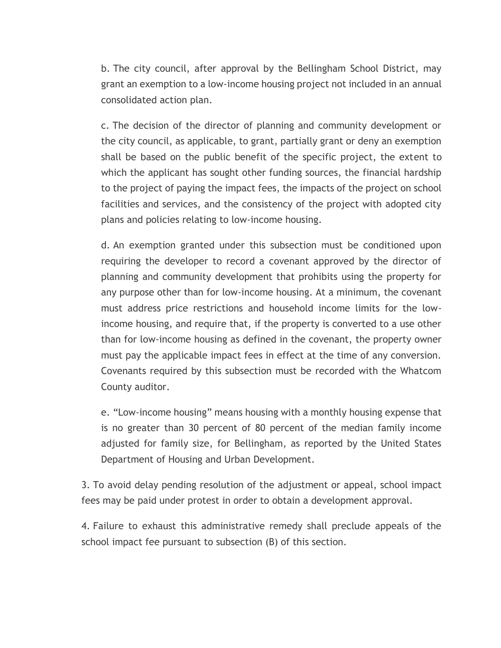b. The city council, after approval by the Bellingham School District, may grant an exemption to a low-income housing project not included in an annual consolidated action plan.

c. The decision of the director of planning and community development or the city council, as applicable, to grant, partially grant or deny an exemption shall be based on the public benefit of the specific project, the extent to which the applicant has sought other funding sources, the financial hardship to the project of paying the impact fees, the impacts of the project on school facilities and services, and the consistency of the project with adopted city plans and policies relating to low-income housing.

d. An exemption granted under this subsection must be conditioned upon requiring the developer to record a covenant approved by the director of planning and community development that prohibits using the property for any purpose other than for low-income housing. At a minimum, the covenant must address price restrictions and household income limits for the lowincome housing, and require that, if the property is converted to a use other than for low-income housing as defined in the covenant, the property owner must pay the applicable impact fees in effect at the time of any conversion. Covenants required by this subsection must be recorded with the Whatcom County auditor.

e. "Low-income housing" means housing with a monthly housing expense that is no greater than 30 percent of 80 percent of the median family income adjusted for family size, for Bellingham, as reported by the United States Department of Housing and Urban Development.

3. To avoid delay pending resolution of the adjustment or appeal, school impact fees may be paid under protest in order to obtain a development approval.

4. Failure to exhaust this administrative remedy shall preclude appeals of the school impact fee pursuant to subsection (B) of this section.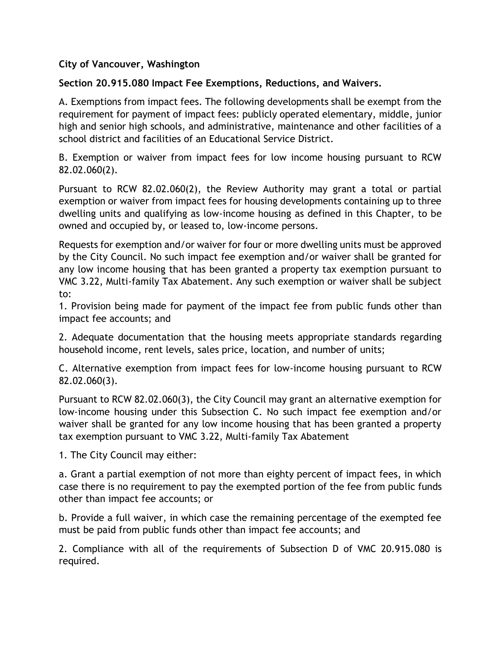# **City of Vancouver, Washington**

## **Section 20.915.080 Impact Fee Exemptions, Reductions, and Waivers.**

A. Exemptions from impact fees. The following developments shall be exempt from the requirement for payment of impact fees: publicly operated elementary, middle, junior high and senior high schools, and administrative, maintenance and other facilities of a school district and facilities of an Educational Service District.

B. Exemption or waiver from impact fees for low income housing pursuant to RCW 82.02.060(2).

Pursuant to RCW 82.02.060(2), the Review Authority may grant a total or partial exemption or waiver from impact fees for housing developments containing up to three dwelling units and qualifying as low-income housing as defined in this Chapter, to be owned and occupied by, or leased to, low-income persons.

Requests for exemption and/or waiver for four or more dwelling units must be approved by the City Council. No such impact fee exemption and/or waiver shall be granted for any low income housing that has been granted a property tax exemption pursuant to VMC 3.22, Multi-family Tax Abatement. Any such exemption or waiver shall be subject to:

1. Provision being made for payment of the impact fee from public funds other than impact fee accounts; and

2. Adequate documentation that the housing meets appropriate standards regarding household income, rent levels, sales price, location, and number of units;

C. Alternative exemption from impact fees for low-income housing pursuant to RCW 82.02.060(3).

Pursuant to RCW 82.02.060(3), the City Council may grant an alternative exemption for low-income housing under this Subsection C. No such impact fee exemption and/or waiver shall be granted for any low income housing that has been granted a property tax exemption pursuant to VMC 3.22, Multi-family Tax Abatement

1. The City Council may either:

a. Grant a partial exemption of not more than eighty percent of impact fees, in which case there is no requirement to pay the exempted portion of the fee from public funds other than impact fee accounts; or

b. Provide a full waiver, in which case the remaining percentage of the exempted fee must be paid from public funds other than impact fee accounts; and

2. Compliance with all of the requirements of Subsection D of VMC 20.915.080 is required.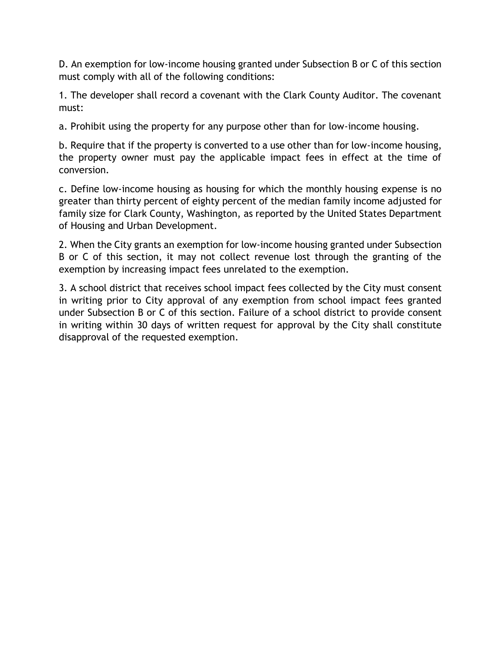D. An exemption for low-income housing granted under Subsection B or C of this section must comply with all of the following conditions:

1. The developer shall record a covenant with the Clark County Auditor. The covenant must:

a. Prohibit using the property for any purpose other than for low-income housing.

b. Require that if the property is converted to a use other than for low-income housing, the property owner must pay the applicable impact fees in effect at the time of conversion.

c. Define low-income housing as housing for which the monthly housing expense is no greater than thirty percent of eighty percent of the median family income adjusted for family size for Clark County, Washington, as reported by the United States Department of Housing and Urban Development.

2. When the City grants an exemption for low-income housing granted under Subsection B or C of this section, it may not collect revenue lost through the granting of the exemption by increasing impact fees unrelated to the exemption.

3. A school district that receives school impact fees collected by the City must consent in writing prior to City approval of any exemption from school impact fees granted under Subsection B or C of this section. Failure of a school district to provide consent in writing within 30 days of written request for approval by the City shall constitute disapproval of the requested exemption.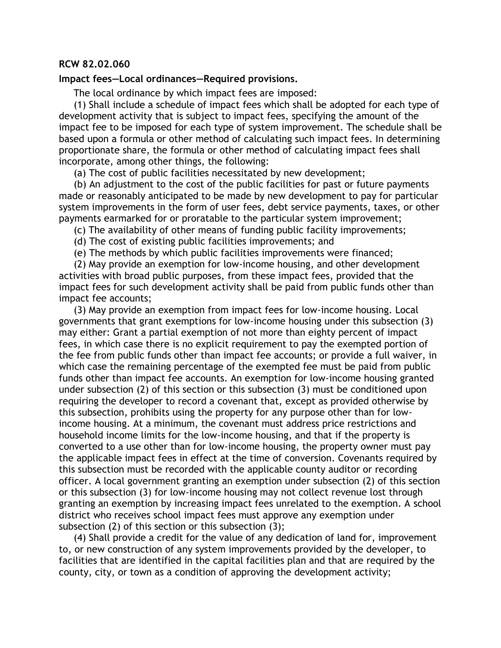#### **RCW 82.02.060**

### **Impact fees—Local ordinances—Required provisions.**

The local ordinance by which impact fees are imposed:

(1) Shall include a schedule of impact fees which shall be adopted for each type of development activity that is subject to impact fees, specifying the amount of the impact fee to be imposed for each type of system improvement. The schedule shall be based upon a formula or other method of calculating such impact fees. In determining proportionate share, the formula or other method of calculating impact fees shall incorporate, among other things, the following:

(a) The cost of public facilities necessitated by new development;

(b) An adjustment to the cost of the public facilities for past or future payments made or reasonably anticipated to be made by new development to pay for particular system improvements in the form of user fees, debt service payments, taxes, or other payments earmarked for or proratable to the particular system improvement;

- (c) The availability of other means of funding public facility improvements;
- (d) The cost of existing public facilities improvements; and
- (e) The methods by which public facilities improvements were financed;

(2) May provide an exemption for low-income housing, and other development activities with broad public purposes, from these impact fees, provided that the impact fees for such development activity shall be paid from public funds other than impact fee accounts;

(3) May provide an exemption from impact fees for low-income housing. Local governments that grant exemptions for low-income housing under this subsection (3) may either: Grant a partial exemption of not more than eighty percent of impact fees, in which case there is no explicit requirement to pay the exempted portion of the fee from public funds other than impact fee accounts; or provide a full waiver, in which case the remaining percentage of the exempted fee must be paid from public funds other than impact fee accounts. An exemption for low-income housing granted under subsection (2) of this section or this subsection (3) must be conditioned upon requiring the developer to record a covenant that, except as provided otherwise by this subsection, prohibits using the property for any purpose other than for lowincome housing. At a minimum, the covenant must address price restrictions and household income limits for the low-income housing, and that if the property is converted to a use other than for low-income housing, the property owner must pay the applicable impact fees in effect at the time of conversion. Covenants required by this subsection must be recorded with the applicable county auditor or recording officer. A local government granting an exemption under subsection (2) of this section or this subsection (3) for low-income housing may not collect revenue lost through granting an exemption by increasing impact fees unrelated to the exemption. A school district who receives school impact fees must approve any exemption under subsection (2) of this section or this subsection (3);

(4) Shall provide a credit for the value of any dedication of land for, improvement to, or new construction of any system improvements provided by the developer, to facilities that are identified in the capital facilities plan and that are required by the county, city, or town as a condition of approving the development activity;